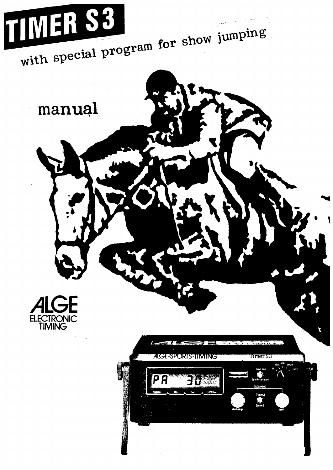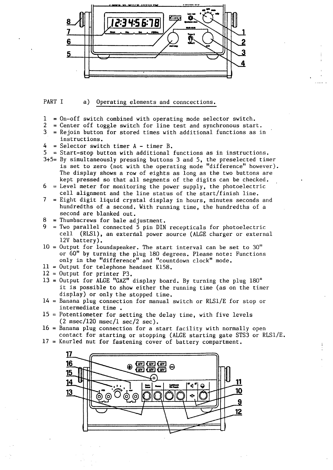

#### PART I a) Operating elements and conncections.

- $1 =$  On-off switch combined with operating mode selector switch.<br>2 = Center off toggle switch for line test and synchronous star
- 2 = Center off toggle switch for line test and synchronous start.<br>3 = Rejoin button for stored times with additional functions as i  $=$  Rejoin button for stored times with additional functions as in
- instructions.
- $4$  = Selector switch timer  $A$  timer B.
- $5 =$  Start-stop button with additional functions as in instructions.
- 3+5= By simultaneously pressing buttons 3 and 5, the preselected timer is set to zero (not with the operating mode "difference" however). The display shows a row of eights as long as the two buttons are kept pressed so that all segments of the digits can be checked.
- $6$  = Level meter for monitoring the power supply, the photoelectric cell alignment and the line status of the start/finish line.
- 7 Eight digit liquid crystal display in hours, minutes seconds and hundredths of a second. With running time, the hundredths of a second are blanked out.
- $8$  = Thumbscrews for bale adjustment.
- = Two parallel connected 5 pin DIN recepticals for photoelectric cell (RLS1), an external power source (ALGE charger or external 12V battery).
- $10 =$  Output for loundspeaker. The start interval can be set to 30" or 60'' by turning the plug 180 degrees. Please note: Functions only in the "difference" and "countdown clock" mode.
- $11 =$  Output for telephone headset K158.
- $12$  = Output for printer P3.
- $13$  = Output for ALGE "GAZ" display board. By turning the plug  $180^\circ$ it is possible to show either the running time (as on the timer display) or only the stopped time.
- $14$  = Banana plug connection for manual switch or RLS1/E for stop or intermediate time.
- $15$  = Potentiometer for setting the delay time, with five levels  $(2 \text{ msec}/120 \text{ msec}/1 \text{ sec}/2 \text{ sec}).$
- $16$  = Banana plug connection for a start facility with normally open contact for starting or stopping (ALGE starting gate STS3 or RLSl/E.
- 17 = Knurled nut for fastening cover of battery compartment.

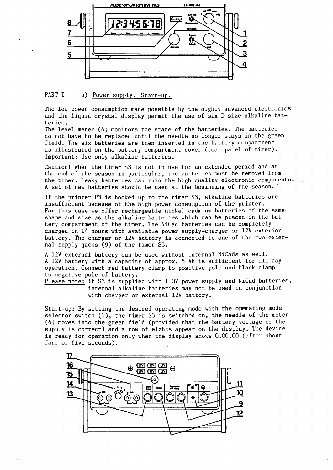

#### PART I b) Power supply. Start-up.

The low power consumption made possible by the highly advanced electronics and the liquid crystal display permit the use of six D size alkaline batteries.

The level meter (6) monitors the state of the batteries. The batteries do not have to be replaced until the needle no longer stays in the green field. The six batteries are then inserted in the battery compartment as illustrated on the battery compartment cover (rear panel of timer). Important: Use only alkaline batteries.

Caution! When the timer S3 is not in use for an extended period and at the end of the season in particular, the batteries must be removed from the timer. Leaky batteries can ruin the high quality electronic components. A set of new batteries should be used at the beginning of the season.

If the printer P3 is hooked up to the timer S3, alkaline batteries are insufficient because of the high power consumption of the printer. For this case we offer rechargeable nickel cadmium batteries of the same shape and size as the alkaline batteries which can be placed in the battery compartment of the timer. The NiCad batteries can be completely charged in 14 hours with available power supply-charger or 12V exterior battery. The charger or 12V battery is connected to one of the two external supply jacks (9) of the timer S3.

A 12V external battery can be used without internal NiCads as well. A 12V battery with a capacity of approx. 5 Ah is sufficient for all day operation. Connect red battery clamp to positive pole and black clamp to negative pole of battery.

Please note: If S3 is supplied with 110V power supply and NiCad batteries, internal alkaline batteries may not be used in conjunction with charger or external 12V battery.

Start-up: By setting the desired operating mode with the operating mode selector switch (1), the timer S3 is switched on, the needle of the meter (6) moves into the green field (provided that the battery voltage or the supply is correct) and a row of eights appear on the display. The device is ready for operation only when the display shows 0.00.00 (after about four or five seconds).

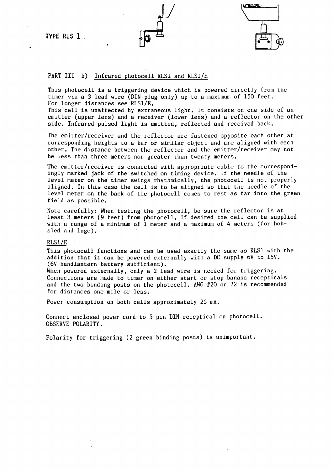**TYPE RLS 1** 



#### PART III b) Infrared photocell RLS1 and RLS1/E

This photocell is a triggering device which is powered directly from the timer via a 3 lead wire (DIN plug only) up to a maximum of 150 feet. For longer distances see RLS1/E.

This cell is unaffected by extraneous light. It consists on one side of an emitter (upper lens) and a receiver (lower lens) and a reflector on the other side. Infrared pulsed light is emitted, reflected and received back.

The emitter/receiver and the reflector are fastened opposite each other at corresponding heights to a bar or similar object and are aligned with each other. The distance between the reflector and the emitter/receiver may not be less than three meters nor greater than twenty meters.

The emitter/receiver is connected with appropriate cable to the correspondingly marked jack of the switched on timing device. If the needle of the level meter on the timer swings rhythmically, the photocell is not properly aligned. In this case the cell is to be aligned so that the needle of the level meter on the back of the photocell comes to rest as far into the green field as possible.

Note carefully: When testing the photocell, be sure the reflector is at least 3 meters (9 feet) from photocell. If desired the cell can be supplied with a range of a minimum of  $1$  meter and a maximum of 4 meters (for bobsled and luge).

#### RLSl/E

This photocell functions and can be used exactly the same as RLS1 with the addition that it can be powered externally with a DC supply 6V to lSV. (6V handlantern battery sufficient).

When powered externally, only a 2 lead wire is needed for triggering. Connections are made to timer on either start or stop banana recepticals and the two binding posts on the photocell. AWG #20 or 22 is recommended for distances one mile or less.

Power consumption on both cells approximately 25 mA.

Connect enclosed power cord to 5 pin DIN receptical on photocell. OBSERVE POLARITY.

Polarity for triggering (2 green binding posts) is unimportant.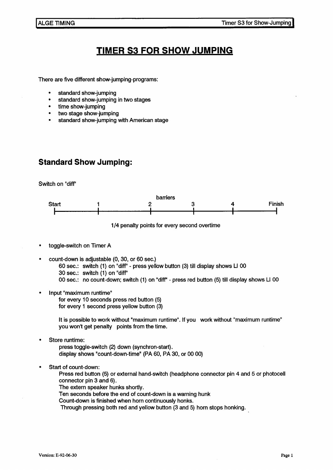# **TIMER S3 FOR SHOW JUMPING**

There are five different show-jumping-programs:

- standard show-jumping
- standard show-jumping in two stages
- time show-jumping
- two stage show-jumping
- standard show-jumping with American stage

# **Standard Show Jumping:**

Switch on "diff''



1 /4 penalty points for every second overtime

- toggle-switch on Timer A
- count-down is adjustable (0, 30, or 60 sec.) 60 sec.: switch (1) on "diff" - press yellow button (3) till display shows LI 00 30 sec.: switch (1) on "diff'' 00 sec.: no count-down; switch (1) on "diff'' - press red button (5) till display shows LI 00
- Input "maximum runtime"

for every 10 seconds press red button (5) for every 1 second press yellow button (3)

lt is possible to work without "maximum runtime". lf you work without "maximum runtime" you won't get penalty points from the time.

Store runtime:

press toggle-switch (2) down (synchron-start). display shows "count-down-time" (PA 60, PA 30, or 00 00)

Start of count-down:

Press red button (5) or external hand-switch (headphone connector pin 4 and 5 or photocell connector pin 3 and 6).

The extern speaker hunks shortly.

Ten seconds before the end of count-down is a warning hunk

Count-down is finished when horn continuously honks.

Through pressing both red and yellow button (3 and 5) horn stops honking.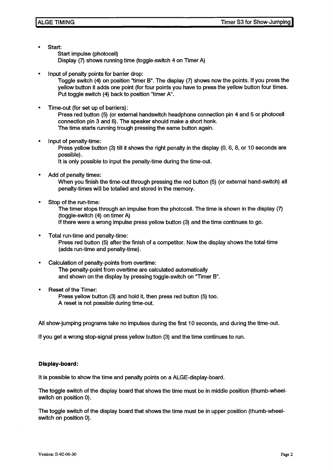Start:

Start impulse (photocell) Display (7) shows running time (toggle-switch 4 on Timer A)

Input of penalty points for barrier drop:

Toggle switch (4) on position "timer B". The display (7) shows now the points. lf you press the yellow button it adds one point (for four points you have to press the yellow button four times. Put toggle switch (4) back to position "timer A".

• Time-out (for set up of barriers):

Press red button (5) (or external handswitch headphone connection pin 4 and 5 or photocell connection pin 3 and 6). The speaker should make a short honk. The time starts running trough pressing the same button again.

• Input of penalty-time:

Press yellow button (3) till it shows the right penalty in the display (0, 6, 8, or 10 seconds are possible).

lt is only possible to input the penalty-time during the time-out.

Add of penalty times:

When you finish the time-out through pressing the red button (5) (or external hand-switch) all penalty-times will be totalled and stored in the memory.

Stop of the run-time:

The timer stops through an impulse from the photocell. The time is shown in the display (7) (toggle-switch (4) on timer A)

lf there were a wrang impulse press yellow button (3) and the time continues to go.

- Total run-time and penalty-time: Press red button (5) after the finish of a competitor. Now the display shows the total-time (adds run-time and penalty-time).
- Calculation of penalty-points from overtime: The penalty-point from overtime are calculated automatically and shown on the display by pressing toggle-switch on "Timer B".
- Reset of the Timer:

Press yellow button (3) and hold it, then press red button (5) too. A reset is not possible during time-out.

All show-jumping programs take no impulses during the first 10 seconds, and during the time-out.

lf you get a wrang stop-signal press yellow button (3) and the time continues to run.

#### **Display-board:**

lt is possible to show the time and penalty points on a ALGE-display-board.

The toggle switch of the display board that shows the time must be in middle position (thumb-wheelswitch on position 0).

The toggle switch of the display board that shows the time must be in upper position (thumb-wheelswitch on position 0).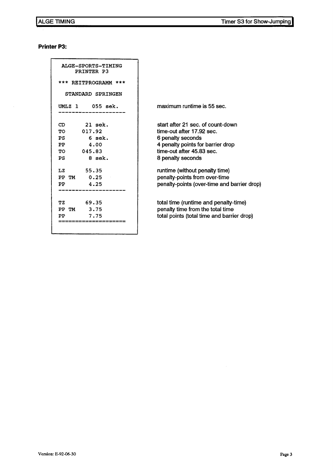#### **Printer P3:**

| ALGE-SPORTS-TIMING<br>PRINTER P3<br>*** REITPROGRAMM ***<br>STANDARD SPRINGEN                                                                 |                                                                                                                                                                                                                                                                                              |
|-----------------------------------------------------------------------------------------------------------------------------------------------|----------------------------------------------------------------------------------------------------------------------------------------------------------------------------------------------------------------------------------------------------------------------------------------------|
| UMLZ 1 055 sek.                                                                                                                               | maximum runtime is 55 sec.                                                                                                                                                                                                                                                                   |
| $21$ sek.<br>CD<br>017.92<br>TО<br>$6$ sek.<br>PS<br>PP<br>4.00<br>045.83<br>TО<br>8 sek.<br>PS<br>55.35<br>LZ<br>0.25<br>PP TM<br>4.25<br>PP | start after 21 sec. of count-down<br>time-out after 17.92 sec.<br>6 penalty seconds<br>4 penalty points for barrier drop<br>time-out after 45.83 sec.<br>8 penalty seconds<br>runtime (without penalty time)<br>penalty-points from over-time<br>penalty-points (over-time and barrier drop) |
| 69.35<br>ТZ<br>3.75<br>PP TM<br>7.75<br>PP<br>========                                                                                        | total time (runtime and penalty-time)<br>penalty time from the total time<br>total points (total time and barrier drop)                                                                                                                                                                      |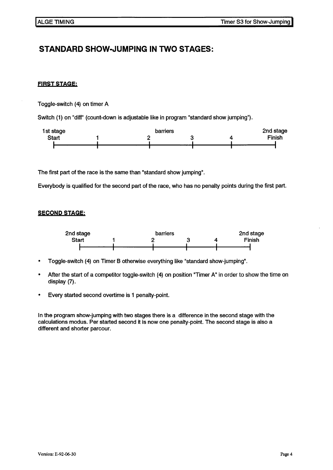## **STANDARD SHOW-JUMPING IN TWO STAGES:**

#### **FIRST STAGE:**

Toggle-switch (4) on timer A

Switch (1) on "diff" (count-down is adjustable like in program "standard show jumping").



The first part of the race is the same than "standard show jumping".

Everybody is qualified for the second part of the race, who has no penalty points during the first part.

#### **SECOND STAGE;**



- Toggle-switch (4) on Timer B otherwise everything like "standard show-jumping".  $\bullet$
- After the start of a competitor toggle-switch (4) on position "Timer A" in order to show the time on display (7).
- Every started second overtime is 1 penalty-point.

In the program show-jumping with two stages there is a difference in the second stage with the calculations modus. Per started second it is now one penalty-point. The second stage is also a different and shorter parcour.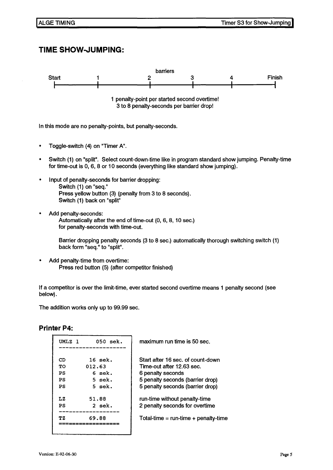### **TIME SHOW-JUMPING:**



In this mode are no penalty-points, but penalty-seconds.

- Toggle-switch (4) on "Timer A".
- Switch (1) on "split". Select count-down-time like in program standard show jumping. Penalty-time for time-out is 0, 6, 8 or 10 seconds (everything like standard show jumping).
- Input of penalty-seconds for barrier dropping: Switch (1) on "seq." Press yellow button (3) (penalty from 3 to 8 seconds). Switch (1) back on "split"
- Add penalty-seconds: Automatically after the end of time-out (0, 6, 8, 10 sec.) for penalty-seconds with time-out.

Barrier dropping penalty seconds (3 to 8 sec.) automatically thorough switching switch (1) back form "seq." to "split".

• Add penalty-time from overtime: Press red button (5) (after competitor finished)

lf a competitor is over the limit-time, ever started second overtime means 1 penalty second (see below).

The addition works only up to 99.99 sec.

#### **Printer P4:**

| UMLZ 1 | $050$ sek. |
|--------|------------|
| CD     | 16 sek.    |
| TО     | 012.63     |
| PS     | 6 sek.     |
| PS     | 5 sek.     |
| PS     | $5$ sek.   |
| LZ.    | 51.88      |
| PS     | 2 sek.     |
| ТZ     | 69.88      |
|        |            |

maximum run time is 50 sec.

Startafter 16 sec. of count-down Time-out after 12.63 sec. 6 penalty seconds 5 penalty seconds (barrier drop) 5 penalty seconds (barrier drop) run-time without penalty-time 2 penalty seconds for overtime Total-time =  $run$ -time + penalty-time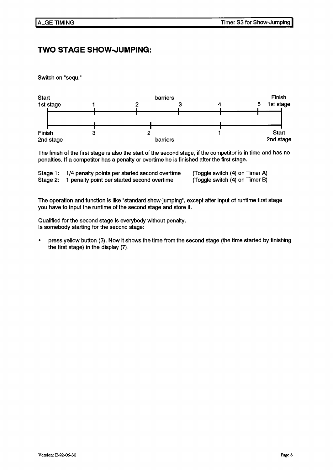### **TWO STAGE SHOW-JUMPING:**

Switch on "sequ."



The finish of the first stage is also the start of the second stage, if the competitor is in time and has no penalties. lf a competitor has a penalty or overtime he is finished after the first stage.

| Stage 1: | 1/4 penalty points per started second overtime | (Toggle switch (4) on Timer A) |
|----------|------------------------------------------------|--------------------------------|
| Stage 2: | 1 penalty point per started second overtime    | (Toggle switch (4) on Timer B) |

The operation and function is like "standard show-jumping", except after input of runtime first stage you have to input the runtime of the second stage and store it.

Qualified for the second stage is everybody without penalty. ls somebody starting for the second stage:

press yellow button (3). Now it shows the time from the second stage (the time started by finishing the first stage) in the display (7).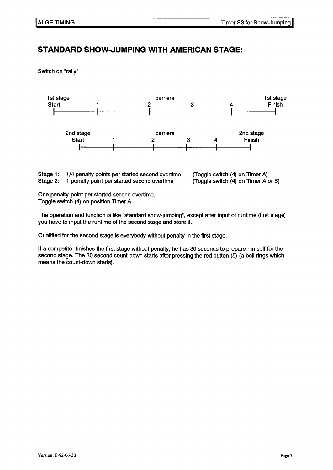# **STANDARD SHOW-JUMPING WITH AMERICAN STAGE:**

Switch on "rally"



Stage 1: Stage 2: 1/4 penalty points per started second overtime 1 penalty point per started second overtime

(Toggle switch (4) on Timer A) (Toggle switch (4) on Timer A or B)

One penalty-point per started second overtime. Toggle switch (4) on position Timer A.

The operation and function is like "standard show-jumping", except after input of runtime (first stage) you have to input the runtime of the second stage and store it.

Qualified for the second stage is everybody without penalty in the first stage.

lf a competitor finishes the first stage without penalty, he has 30 seconds to prepare himself for the second stage. The 30 second count-down starts after pressing the red button (5) (a bell rings which means the count-down starts).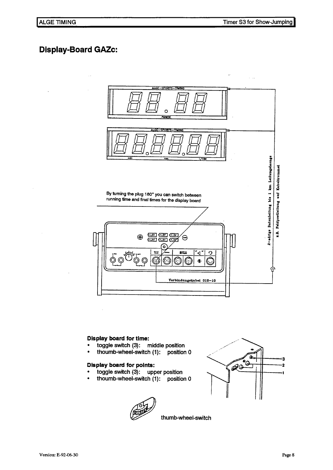### **Display-Board GAZc:**



#### **Display board for time:**

- toggle switch (3): middle position
- thoumb-wheel-switch (1): position O

#### **Dlsplay board for polnts:**

- toggle switch (3): upper position
- thoumb-wheel-switch (1): position 0





thumb-wheel-switch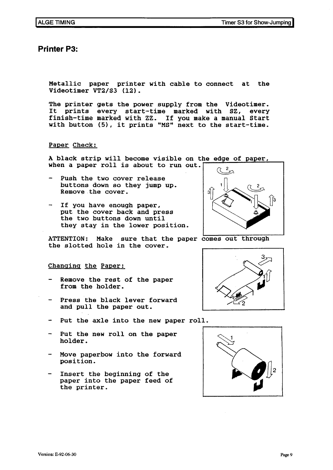### **Printer P3:**

Metallic paper printer with cable to connect at the Videotimer VT2/S3 (12).

The printer gets the power supply from the Videotimer. It prints every start-time marked with SZ, every finish-time marked with zz. If you make a manual Start with button (5), it prints "MS" next to the start-time.

#### Paper Check:

A black strip will become visible on the edge of paper, when a paper roll is about to run out.

- Push the two cover release buttons down so they jump up. Remove the cover.
- If you have enough paper, put the cover back and press the two buttons down until they stay in the lower position.

ATTENTION: Make sure that the paper comes out through the slotted hole in the cover.

#### Changing the Paper:

- Remove the rest of the paper from the holder.
- Press the black lever forward and pull the paper out.
- Put the axle into the new paper roll.
- Put the new roll on the paper holder.
- Move paperbow into the forward position.
- Insert the beginning of the paper into the paper feed of the printer.





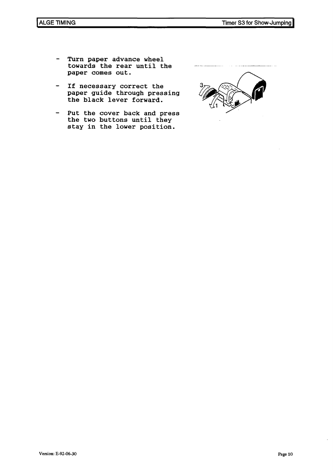- Turn paper advance wheel  $\overline{\phantom{m}}$ towards the rear until the paper comes out.
- If necessary correct the paper guide through pressing the black lever forward.
- Put the cover back and press the two buttons until they stay in the lower position.

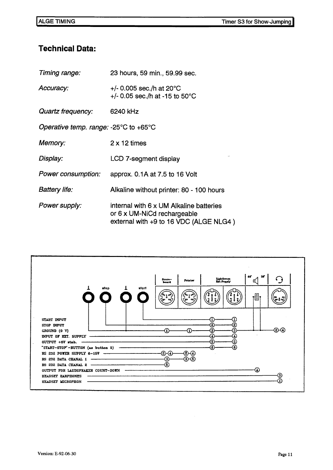## **Technical Data:**

| Timing range:                                             | 23 hours, 59 min., 59.99 sec.                                                                                    |  |
|-----------------------------------------------------------|------------------------------------------------------------------------------------------------------------------|--|
| Accuracy:                                                 | +/- 0.005 sec./h at $20^{\circ}$ C<br>+/- 0.05 sec./h at -15 to 50 $^{\circ}$ C                                  |  |
| Quartz frequency:                                         | 6240 kHz                                                                                                         |  |
| Operative temp. range: -25 $\degree$ C to +65 $\degree$ C |                                                                                                                  |  |
| Memory:                                                   | $2 \times 12$ times                                                                                              |  |
| Display:                                                  | LCD 7-segment display                                                                                            |  |
| Power consumption:                                        | approx. 0.1A at 7.5 to 16 Volt                                                                                   |  |
| <b>Battery life:</b>                                      | Alkaline without printer: 80 - 100 hours                                                                         |  |
| Power supply:                                             | internal with 6 x UM Alkaline batteries<br>or 6 x UM-NiCd rechargeable<br>external with +9 to 16 VDC (ALGE NLG4) |  |